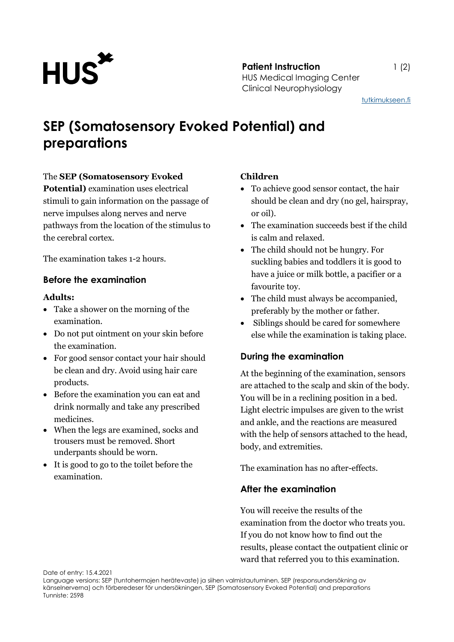

**Patient Instruction** 1 (2) HUS Medical Imaging Center Clinical Neurophysiology

[tutkimukseen.fi](http://www.tutkimukseen.fi/)

# **SEP (Somatosensory Evoked Potential) and preparations**

#### The **SEP (Somatosensory Evoked**

**Potential)** examination uses electrical stimuli to gain information on the passage of nerve impulses along nerves and nerve pathways from the location of the stimulus to the cerebral cortex.

The examination takes 1-2 hours.

## **Before the examination**

#### **Adults:**

- Take a shower on the morning of the examination.
- Do not put ointment on your skin before the examination.
- For good sensor contact your hair should be clean and dry. Avoid using hair care products.
- Before the examination you can eat and drink normally and take any prescribed medicines.
- When the legs are examined, socks and trousers must be removed. Short underpants should be worn.
- It is good to go to the toilet before the examination.

## **Children**

- To achieve good sensor contact, the hair should be clean and dry (no gel, hairspray, or oil).
- The examination succeeds best if the child is calm and relaxed.
- The child should not be hungry. For suckling babies and toddlers it is good to have a juice or milk bottle, a pacifier or a favourite toy.
- The child must always be accompanied, preferably by the mother or father.
- Siblings should be cared for somewhere else while the examination is taking place.

# **During the examination**

At the beginning of the examination, sensors are attached to the scalp and skin of the body. You will be in a reclining position in a bed. Light electric impulses are given to the wrist and ankle, and the reactions are measured with the help of sensors attached to the head, body, and extremities.

The examination has no after-effects.

# **After the examination**

You will receive the results of the examination from the doctor who treats you. If you do not know how to find out the results, please contact the outpatient clinic or ward that referred you to this examination.

Date of entry: 15.4.2021

Language versions: SEP (tuntohermojen herätevaste) ja siihen valmistautuminen, SEP (responsundersökning av känselnerverna) och förberedeser för undersökningen, SEP (Somatosensory Evoked Potential) and preparations Tunniste: 2598